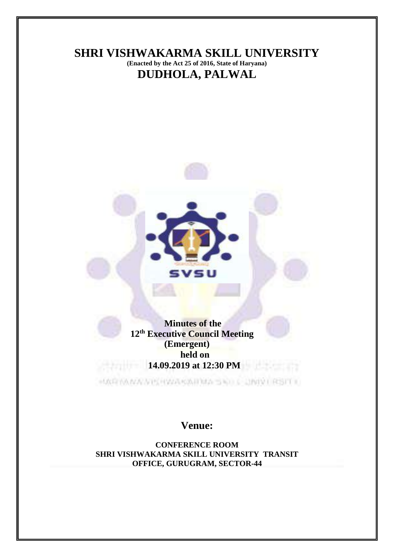

**Venue:**

**CONFERENCE ROOM SHRI VISHWAKARMA SKILL UNIVERSITY TRANSIT OFFICE, GURUGRAM, SECTOR-44**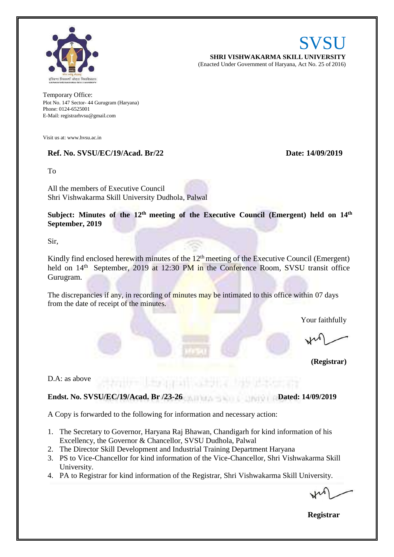

SVSU **SHRI VISHWAKARMA SKILL UNIVERSITY** (Enacted Under Government of Haryana, Act No. 25 of 2016)

Temporary Office: Plot No. 147 Sector- 44 Gurugram (Haryana) Phone: 0124-6525001 E-Mail: [registrarhvsu@gmail.com](mailto:registrarhvsu@gmail.com)

Visit us at[: www.hvsu.ac.in](http://www.hvsu.ac.in/)

#### **Ref. No. SVSU/EC/19/Acad. Br/22 Date: 14/09/2019**

To

All the members of Executive Council Shri Vishwakarma Skill University Dudhola, Palwal

**Subject: Minutes of the 12 th meeting of the Executive Council (Emergent) held on 14th September, 2019**

Sir,

Kindly find enclosed herewith minutes of the 12<sup>th</sup> meeting of the Executive Council (Emergent) held on 14<sup>th</sup> September, 2019 at 12:30 PM in the Conference Room, SVSU transit office Gurugram.

The discrepancies if any, in recording of minutes may be intimated to this office within 07 days from the date of receipt of the minutes.

Your faithfully

**(Registrar)**

D.A: as above

## **Endst. No. SVSU/EC/19/Acad. Br /23-26 Dated: 14/09/2019**

A Copy is forwarded to the following for information and necessary action:

1. The Secretary to Governor, Haryana Raj Bhawan, Chandigarh for kind information of his Excellency, the Governor & Chancellor, SVSU Dudhola, Palwal

**Legislation** 

- 2. The Director Skill Development and Industrial Training Department Haryana
- 3. PS to Vice-Chancellor for kind information of the Vice-Chancellor, Shri Vishwakarma Skill University.
- 4. PA to Registrar for kind information of the Registrar, Shri Vishwakarma Skill University.

 **Registrar**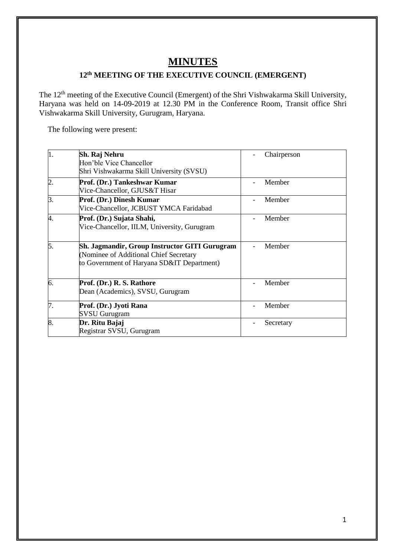# **MINUTES**

# **12th MEETING OF THE EXECUTIVE COUNCIL (EMERGENT)**

The 12<sup>th</sup> meeting of the Executive Council (Emergent) of the Shri Vishwakarma Skill University, Haryana was held on 14-09-2019 at 12.30 PM in the Conference Room, Transit office Shri Vishwakarma Skill University, Gurugram, Haryana.

The following were present:

| $\vert$ 1.     | Sh. Raj Nehru<br>Hon'ble Vice Chancellor<br>Shri Vishwakarma Skill University (SVSU)                                                  | Chairperson |
|----------------|---------------------------------------------------------------------------------------------------------------------------------------|-------------|
| $\overline{2}$ | Prof. (Dr.) Tankeshwar Kumar<br>Vice-Chancellor, GJUS&T Hisar                                                                         | Member      |
| 3.             | Prof. (Dr.) Dinesh Kumar<br>Vice-Chancellor, JCBUST YMCA Faridabad                                                                    | Member      |
| 4.             | Prof. (Dr.) Sujata Shahi,<br>Vice-Chancellor, IILM, University, Gurugram                                                              | Member      |
| 5.             | Sh. Jagmandir, Group Instructor GITI Gurugram<br>(Nominee of Additional Chief Secretary<br>to Government of Haryana SD&IT Department) | Member      |
| 6.             | Prof. (Dr.) R. S. Rathore<br>Dean (Academics), SVSU, Gurugram                                                                         | Member      |
| 7.             | Prof. (Dr.) Jyoti Rana<br><b>SVSU Gurugram</b>                                                                                        | Member      |
| 8.             | Dr. Ritu Bajaj<br>Registrar SVSU, Gurugram                                                                                            | Secretary   |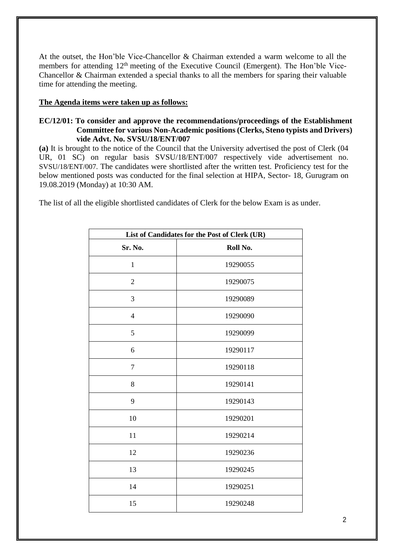At the outset, the Hon'ble Vice-Chancellor & Chairman extended a warm welcome to all the members for attending 12<sup>th</sup> meeting of the Executive Council (Emergent). The Hon'ble Vice-Chancellor & Chairman extended a special thanks to all the members for sparing their valuable time for attending the meeting.

## **The Agenda items were taken up as follows:**

#### **EC/12/01: To consider and approve the recommendations/proceedings of the Establishment Committee for various Non-Academic positions (Clerks, Steno typists and Drivers) vide Advt. No. SVSU/18/ENT/007**

**(a)** It is brought to the notice of the Council that the University advertised the post of Clerk (04 UR, 01 SC) on regular basis SVSU/18/ENT/007 respectively vide advertisement no. SVSU/18/ENT/007. The candidates were shortlisted after the written test. Proficiency test for the below mentioned posts was conducted for the final selection at HIPA, Sector- 18, Gurugram on 19.08.2019 (Monday) at 10:30 AM.

The list of all the eligible shortlisted candidates of Clerk for the below Exam is as under.

| List of Candidates for the Post of Clerk (UR) |          |  |
|-----------------------------------------------|----------|--|
| Sr. No.                                       | Roll No. |  |
| $\mathbf{1}$                                  | 19290055 |  |
| $\sqrt{2}$                                    | 19290075 |  |
| 3                                             | 19290089 |  |
| $\overline{4}$                                | 19290090 |  |
| 5                                             | 19290099 |  |
| 6                                             | 19290117 |  |
| $\tau$                                        | 19290118 |  |
| 8                                             | 19290141 |  |
| 9                                             | 19290143 |  |
| 10                                            | 19290201 |  |
| 11                                            | 19290214 |  |
| 12                                            | 19290236 |  |
| 13                                            | 19290245 |  |
| 14                                            | 19290251 |  |
| 15                                            | 19290248 |  |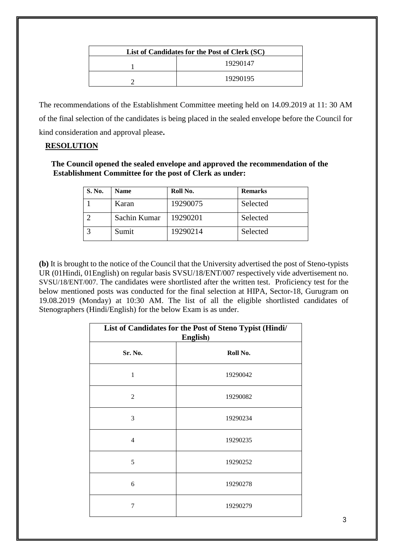| List of Candidates for the Post of Clerk (SC) |          |  |
|-----------------------------------------------|----------|--|
|                                               | 19290147 |  |
|                                               | 19290195 |  |

The recommendations of the Establishment Committee meeting held on 14.09.2019 at 11: 30 AM of the final selection of the candidates is being placed in the sealed envelope before the Council for kind consideration and approval please**.** 

## **RESOLUTION**

 **The Council opened the sealed envelope and approved the recommendation of the Establishment Committee for the post of Clerk as under:**

| <b>S. No.</b> | <b>Name</b>  | Roll No. | <b>Remarks</b> |
|---------------|--------------|----------|----------------|
|               | Karan        | 19290075 | Selected       |
|               | Sachin Kumar | 19290201 | Selected       |
|               | Sumit        | 19290214 | Selected       |

**(b)** It is brought to the notice of the Council that the University advertised the post of Steno-typists UR (01Hindi, 01English) on regular basis SVSU/18/ENT/007 respectively vide advertisement no. SVSU/18/ENT/007. The candidates were shortlisted after the written test. Proficiency test for the below mentioned posts was conducted for the final selection at HIPA, Sector-18, Gurugram on 19.08.2019 (Monday) at 10:30 AM. The list of all the eligible shortlisted candidates of Stenographers (Hindi/English) for the below Exam is as under.

| List of Candidates for the Post of Steno Typist (Hindi/<br>English) |          |  |
|---------------------------------------------------------------------|----------|--|
| Sr. No.                                                             | Roll No. |  |
| $\mathbf{1}$                                                        | 19290042 |  |
| $\overline{2}$                                                      | 19290082 |  |
| 3                                                                   | 19290234 |  |
| 4                                                                   | 19290235 |  |
| 5                                                                   | 19290252 |  |
| 6                                                                   | 19290278 |  |
| 7                                                                   | 19290279 |  |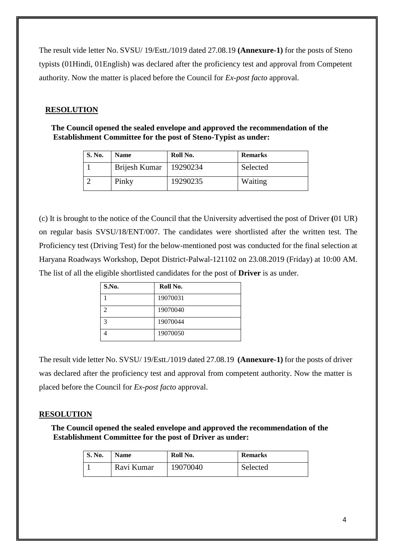The result vide letter No. SVSU/ 19/Estt./1019 dated 27.08.19 **(Annexure-1)** for the posts of Steno typists (01Hindi, 01English) was declared after the proficiency test and approval from Competent authority. Now the matter is placed before the Council for *Ex-post facto* approval.

## **RESOLUTION**

 **The Council opened the sealed envelope and approved the recommendation of the Establishment Committee for the post of Steno-Typist as under:**

| <b>S. No.</b> | <b>Name</b>   | Roll No. | <b>Remarks</b> |
|---------------|---------------|----------|----------------|
|               | Brijesh Kumar | 19290234 | Selected       |
|               | Pinky         | 19290235 | Waiting        |

(c) It is brought to the notice of the Council that the University advertised the post of Driver **(**01 UR) on regular basis SVSU/18/ENT/007. The candidates were shortlisted after the written test. The Proficiency test (Driving Test) for the below-mentioned post was conducted for the final selection at Haryana Roadways Workshop, Depot District-Palwal-121102 on 23.08.2019 (Friday) at 10:00 AM. The list of all the eligible shortlisted candidates for the post of **Driver** is as under.

| S.No. | Roll No. |
|-------|----------|
|       | 19070031 |
|       | 19070040 |
| っ     | 19070044 |
|       | 19070050 |

The result vide letter No. SVSU/ 19/Estt./1019 dated 27.08.19 **(Annexure-1)** for the posts of driver was declared after the proficiency test and approval from competent authority. Now the matter is placed before the Council for *Ex-post facto* approval.

## **RESOLUTION**

 **The Council opened the sealed envelope and approved the recommendation of the Establishment Committee for the post of Driver as under:**

| <b>S. No.</b> | <b>Name</b> | Roll No. | <b>Remarks</b> |
|---------------|-------------|----------|----------------|
|               | Ravi Kumar  | 19070040 | Selected       |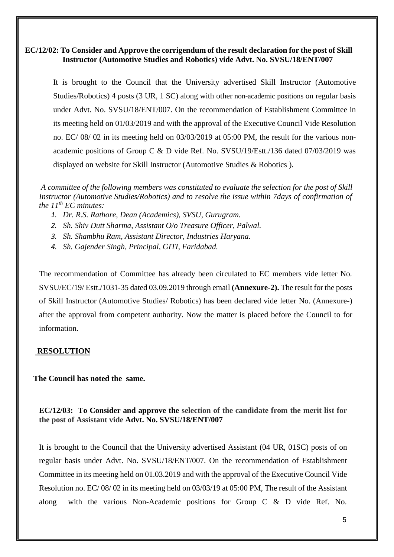## **EC/12/02: To Consider and Approve the corrigendum of the result declaration for the post of Skill Instructor (Automotive Studies and Robotics) vide Advt. No. SVSU/18/ENT/007**

It is brought to the Council that the University advertised Skill Instructor (Automotive Studies/Robotics) 4 posts (3 UR, 1 SC) along with other non-academic positions on regular basis under Advt. No. SVSU/18/ENT/007. On the recommendation of Establishment Committee in its meeting held on 01/03/2019 and with the approval of the Executive Council Vide Resolution no. EC/ 08/ 02 in its meeting held on 03/03/2019 at 05:00 PM, the result for the various nonacademic positions of Group C & D vide Ref. No. SVSU/19/Estt./136 dated 07/03/2019 was displayed on website for Skill Instructor (Automotive Studies & Robotics ).

*A committee of the following members was constituted to evaluate the selection for the post of Skill Instructor (Automotive Studies/Robotics) and to resolve the issue within 7days of confirmation of the 11th EC minutes:*

- *1. Dr. R.S. Rathore, Dean (Academics), SVSU, Gurugram.*
- *2. Sh. Shiv Dutt Sharma, Assistant O/o Treasure Officer, Palwal.*
- *3. Sh. Shambhu Ram, Assistant Director, Industries Haryana.*
- *4. Sh. Gajender Singh, Principal, GITI, Faridabad.*

The recommendation of Committee has already been circulated to EC members vide letter No. SVSU/EC/19/ Estt./1031-35 dated 03.09.2019 through email **(Annexure-2).** The result for the posts of Skill Instructor (Automotive Studies/ Robotics) has been declared vide letter No. (Annexure-) after the approval from competent authority. Now the matter is placed before the Council to for information.

#### **RESOLUTION**

#### **The Council has noted the same.**

## **EC/12/03: To Consider and approve the selection of the candidate from the merit list for the post of Assistant vide Advt. No. SVSU/18/ENT/007**

It is brought to the Council that the University advertised Assistant (04 UR, 01SC) posts of on regular basis under Advt. No. SVSU/18/ENT/007. On the recommendation of Establishment Committee in its meeting held on 01.03.2019 and with the approval of the Executive Council Vide Resolution no. EC/ 08/ 02 in its meeting held on 03/03/19 at 05:00 PM, The result of the Assistant along with the various Non-Academic positions for Group C & D vide Ref. No.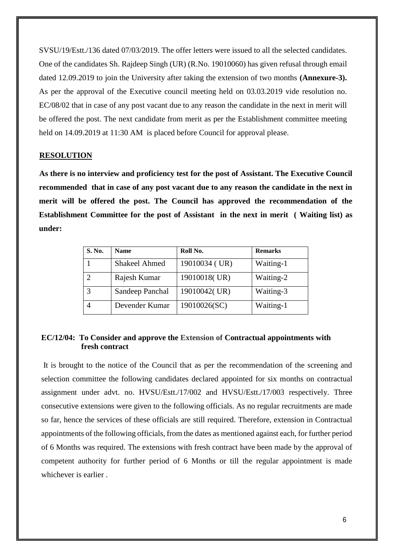SVSU/19/Estt./136 dated 07/03/2019. The offer letters were issued to all the selected candidates. One of the candidates Sh. Rajdeep Singh (UR) (R.No. 19010060) has given refusal through email dated 12.09.2019 to join the University after taking the extension of two months **(Annexure-3).** As per the approval of the Executive council meeting held on 03.03.2019 vide resolution no. EC/08/02 that in case of any post vacant due to any reason the candidate in the next in merit will be offered the post. The next candidate from merit as per the Establishment committee meeting held on 14.09.2019 at 11:30 AM is placed before Council for approval please.

#### **RESOLUTION**

 **As there is no interview and proficiency test for the post of Assistant. The Executive Council recommended that in case of any post vacant due to any reason the candidate in the next in merit will be offered the post. The Council has approved the recommendation of the Establishment Committee for the post of Assistant in the next in merit ( Waiting list) as under:**

| S. No. | <b>Name</b>          | Roll No.      | <b>Remarks</b> |
|--------|----------------------|---------------|----------------|
|        | <b>Shakeel Ahmed</b> | 19010034 (UR) | Waiting-1      |
|        | Rajesh Kumar         | 19010018(UR)  | Waiting-2      |
| 3      | Sandeep Panchal      | 19010042(UR)  | Waiting-3      |
|        | Devender Kumar       | 19010026(SC)  | Waiting-1      |

## **EC/12/04: To Consider and approve the Extension of Contractual appointments with fresh contract**

It is brought to the notice of the Council that as per the recommendation of the screening and selection committee the following candidates declared appointed for six months on contractual assignment under advt. no. HVSU/Estt./17/002 and HVSU/Estt./17/003 respectively. Three consecutive extensions were given to the following officials. As no regular recruitments are made so far, hence the services of these officials are still required. Therefore, extension in Contractual appointments of the following officials, from the dates as mentioned against each, for further period of 6 Months was required. The extensions with fresh contract have been made by the approval of competent authority for further period of 6 Months or till the regular appointment is made whichever is earlier .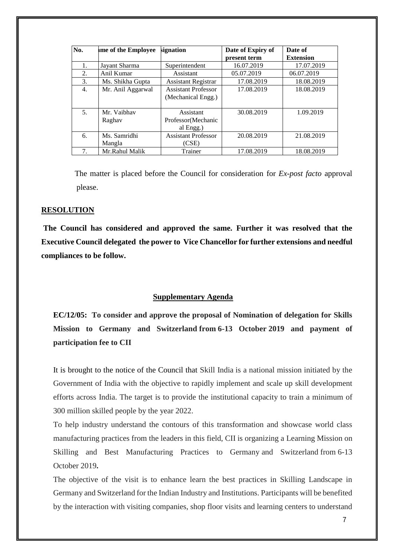| No.              | me of the Employee     | signation                                        | Date of Expiry of<br>present term | Date of<br><b>Extension</b> |
|------------------|------------------------|--------------------------------------------------|-----------------------------------|-----------------------------|
| 1.               | Jayant Sharma          | Superintendent                                   | 16.07.2019                        | 17.07.2019                  |
| 2.               | Anil Kumar             | Assistant                                        | 05.07.2019                        | 06.07.2019                  |
| 3.               | Ms. Shikha Gupta       | <b>Assistant Registrar</b>                       | 17.08.2019                        | 18.08.2019                  |
| $\overline{4}$ . | Mr. Anil Aggarwal      | <b>Assistant Professor</b><br>(Mechanical Engg.) | 17.08.2019                        | 18.08.2019                  |
| 5.               | Mr. Vaibhav<br>Raghay  | Assistant<br>Professor (Mechanic<br>al Engg.)    | 30.08.2019                        | 1.09.2019                   |
| 6.               | Ms. Samridhi<br>Mangla | <b>Assistant Professor</b><br>(CSE)              | 20.08.2019                        | 21.08.2019                  |
| 7.               | Mr.Rahul Malik         | Trainer                                          | 17.08.2019                        | 18.08.2019                  |

 The matter is placed before the Council for consideration for *Ex-post facto* approval please.

#### **RESOLUTION**

**The Council has considered and approved the same. Further it was resolved that the Executive Council delegated the power to Vice Chancellor for further extensions and needful compliances to be follow.** 

#### **Supplementary Agenda**

**EC/12/05: To consider and approve the proposal of Nomination of delegation for Skills Mission to Germany and Switzerland from 6-13 October 2019 and payment of participation fee to CII** 

It is brought to the notice of the Council that Skill India is a national mission initiated by the Government of India with the objective to rapidly implement and scale up skill development efforts across India. The target is to provide the institutional capacity to train a minimum of 300 million skilled people by the year 2022.

To help industry understand the contours of this transformation and showcase world class manufacturing practices from the leaders in this field, CII is organizing a Learning Mission on Skilling and Best Manufacturing Practices to Germany and Switzerland from 6-13 October 2019**.** 

The objective of the visit is to enhance learn the best practices in Skilling Landscape in Germany and Switzerland for the Indian Industry and Institutions. Participants will be benefited by the interaction with visiting companies, shop floor visits and learning centers to understand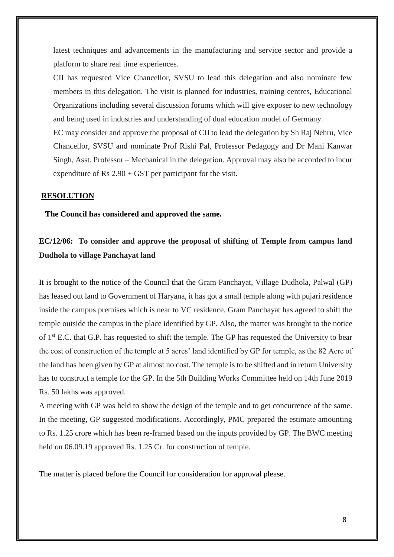latest techniques and advancements in the manufacturing and service sector and provide a platform to share real time experiences.

CII has requested Vice Chancellor, SVSU to lead this delegation and also nominate few members in this delegation. The visit is planned for industries, training centres, Educational Organizations including several discussion forums which will give exposer to new technology and being used in industries and understanding of dual education model of Germany.

EC may consider and approve the proposal of CII to lead the delegation by Sh Raj Nehru, Vice Chancellor, SVSU and nominate Prof Rishi Pal, Professor Pedagogy and Dr Mani Kanwar Singh, Asst. Professor – Mechanical in the delegation. Approval may also be accorded to incur expenditure of Rs  $2.90 + GST$  per participant for the visit.

#### **RESOLUTION**

 **The Council has considered and approved the same.**

## **EC/12/06: To consider and approve the proposal of shifting of Temple from campus land Dudhola to village Panchayat land**

It is brought to the notice of the Council that the Gram Panchayat, Village Dudhola, Palwal (GP) has leased out land to Government of Haryana, it has got a small temple along with pujari residence inside the campus premises which is near to VC residence. Gram Panchayat has agreed to shift the temple outside the campus in the place identified by GP. Also, the matter was brought to the notice of 1<sup>st</sup> E.C. that G.P. has requested to shift the temple. The GP has requested the University to bear the cost of construction of the temple at 5 acres' land identified by GP for temple, as the 82 Acre of the land has been given by GP at almost no cost. The temple is to be shifted and in return University has to construct a temple for the GP. In the 5th Building Works Committee held on 14th June 2019 Rs. 50 lakhs was approved.

A meeting with GP was held to show the design of the temple and to get concurrence of the same. In the meeting, GP suggested modifications. Accordingly, PMC prepared the estimate amounting to Rs. 1.25 crore which has been re-framed based on the inputs provided by GP. The BWC meeting held on 06.09.19 approved Rs. 1.25 Cr. for construction of temple.

The matter is placed before the Council for consideration for approval please.